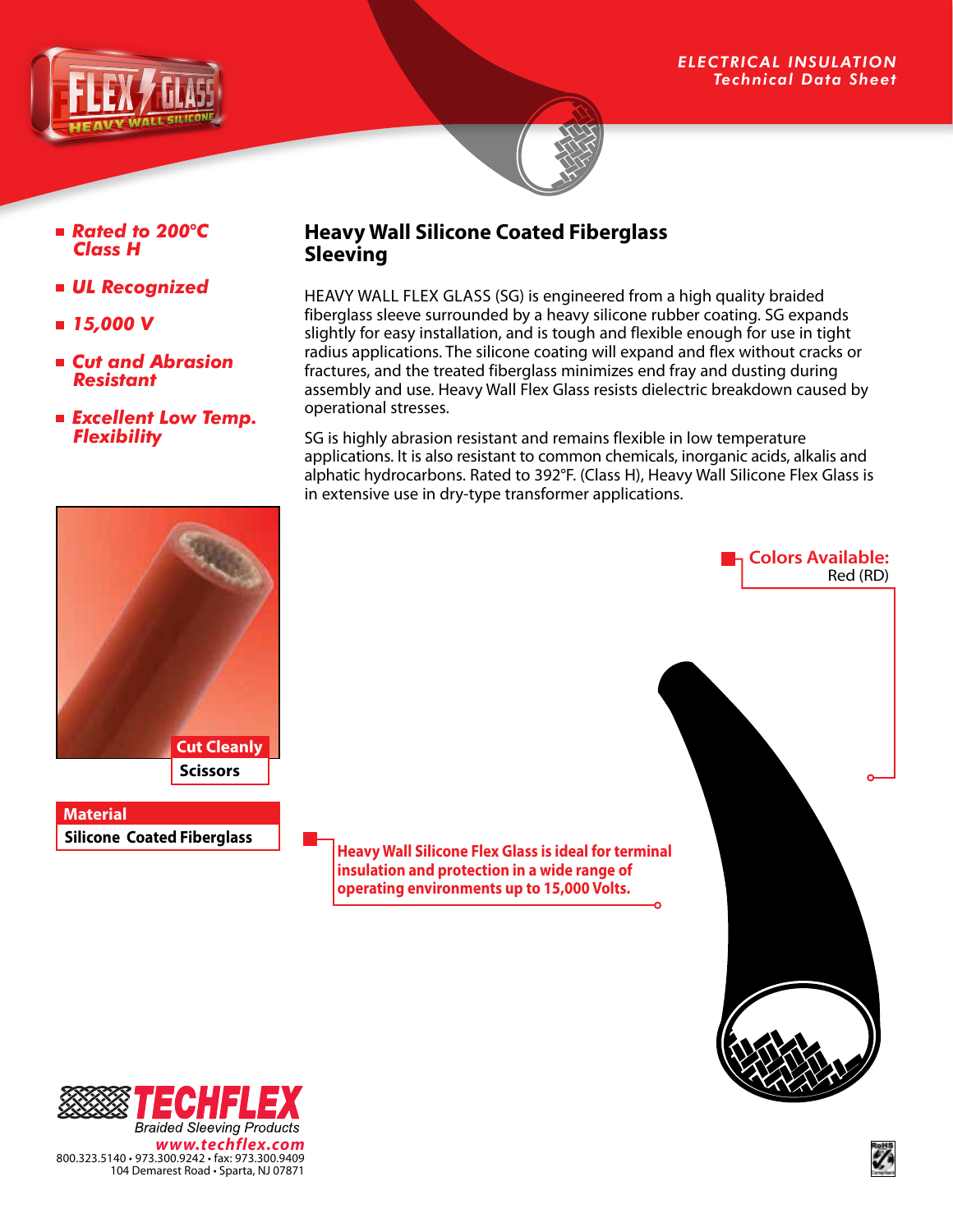

#### *Rated to 200*°*C Class H*

- *UL Recognized*
- *15,000 V*
- *Cut and Abrasion Resistant*
- *Excellent Low Temp. Flexibility*

## **Heavy Wall Silicone Coated Fiberglass Sleeving**

HEAVY WALL FLEX GLASS (SG) is engineered from a high quality braided fiberglass sleeve surrounded by a heavy silicone rubber coating. SG expands slightly for easy installation, and is tough and flexible enough for use in tight radius applications. The silicone coating will expand and flex without cracks or fractures, and the treated fiberglass minimizes end fray and dusting during assembly and use. Heavy Wall Flex Glass resists dielectric breakdown caused by operational stresses.

SG is highly abrasion resistant and remains flexible in low temperature applications. It is also resistant to common chemicals, inorganic acids, alkalis and alphatic hydrocarbons. Rated to 392°F. (Class H), Heavy Wall Silicone Flex Glass is in extensive use in dry-type transformer applications.



**Silicone Coated Fiberglass Material**

**Heavy Wall Silicone Flex Glass is ideal for terminal insulation and protection in a wide range of operating environments up to 15,000 Volts.**



**Colors Available:**

Red (RD)